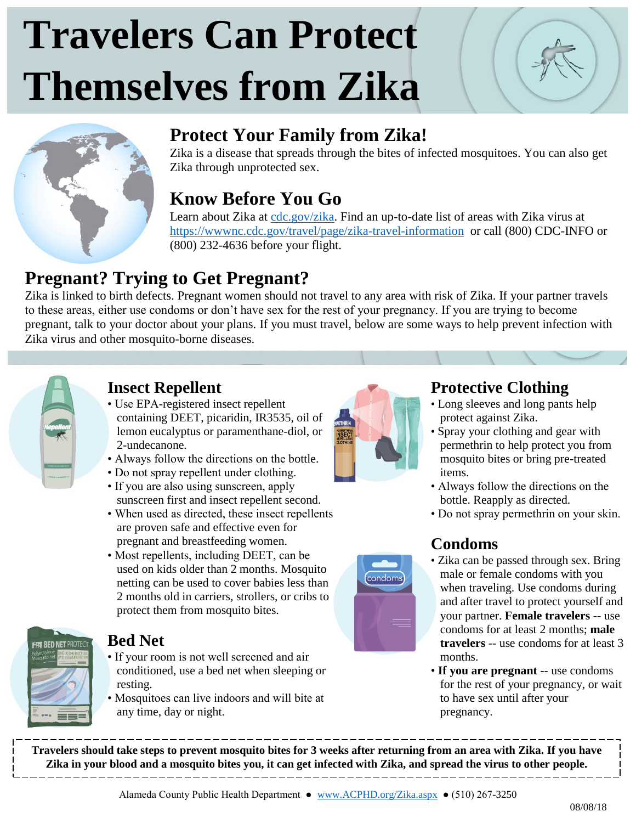# **Travelers Can Protect Themselves from Zika**





## **Protect Your Family from Zika!**

Zika is a disease that spreads through the bites of infected mosquitoes. You can also get Zika through unprotected sex.

## **Know Before You Go**

Learn about Zika at [cdc.gov/zika.](https://www.cdc.gov/zika/) Find an up-to-date list of areas with Zika virus at <https://wwwnc.cdc.gov/travel/page/zika-travel-information>or call (800) CDC-INFO or (800) 232-4636 before your flight.

# **Pregnant? Trying to Get Pregnant?**

Zika is linked to birth defects. Pregnant women should not travel to any area with risk of Zika. If your partner travels to these areas, either use condoms or don't have sex for the rest of your pregnancy. If you are trying to become pregnant, talk to your doctor about your plans. If you must travel, below are some ways to help prevent infection with Zika virus and other mosquito-borne diseases.



### **Insect Repellent**

- Use EPA-registered insect repellent containing DEET, picaridin, IR3535, oil of lemon eucalyptus or paramenthane-diol, or 2-undecanone.
- Always follow the directions on the bottle.
- Do not spray repellent under clothing.
- If you are also using sunscreen, apply sunscreen first and insect repellent second.
- When used as directed, these insect repellents are proven safe and effective even for pregnant and breastfeeding women.
- Most repellents, including DEET, can be used on kids older than 2 months. Mosquito netting can be used to cover babies less than 2 months old in carriers, strollers, or cribs to protect them from mosquito bites.



### **Bed Net**

- If your room is not well screened and air conditioned, use a bed net when sleeping or resting.
- Mosquitoes can live indoors and will bite at any time, day or night.



condoms

### **Protective Clothing**

- Long sleeves and long pants help protect against Zika.
- Spray your clothing and gear with permethrin to help protect you from mosquito bites or bring pre-treated items.
- Always follow the directions on the bottle. Reapply as directed.
- Do not spray permethrin on your skin.

## **Condoms**

- Zika can be passed through sex. Bring male or female condoms with you when traveling. Use condoms during and after travel to protect yourself and your partner. **Female travelers** -- use condoms for at least 2 months; **male travelers** -- use condoms for at least 3 months.
- **If you are pregnant** -- use condoms for the rest of your pregnancy, or wait to have sex until after your pregnancy.

**Travelers should take steps to prevent mosquito bites for 3 weeks after returning from an area with Zika. If you have Zika in your blood and a mosquito bites you, it can get infected with Zika, and spread the virus to other people.**